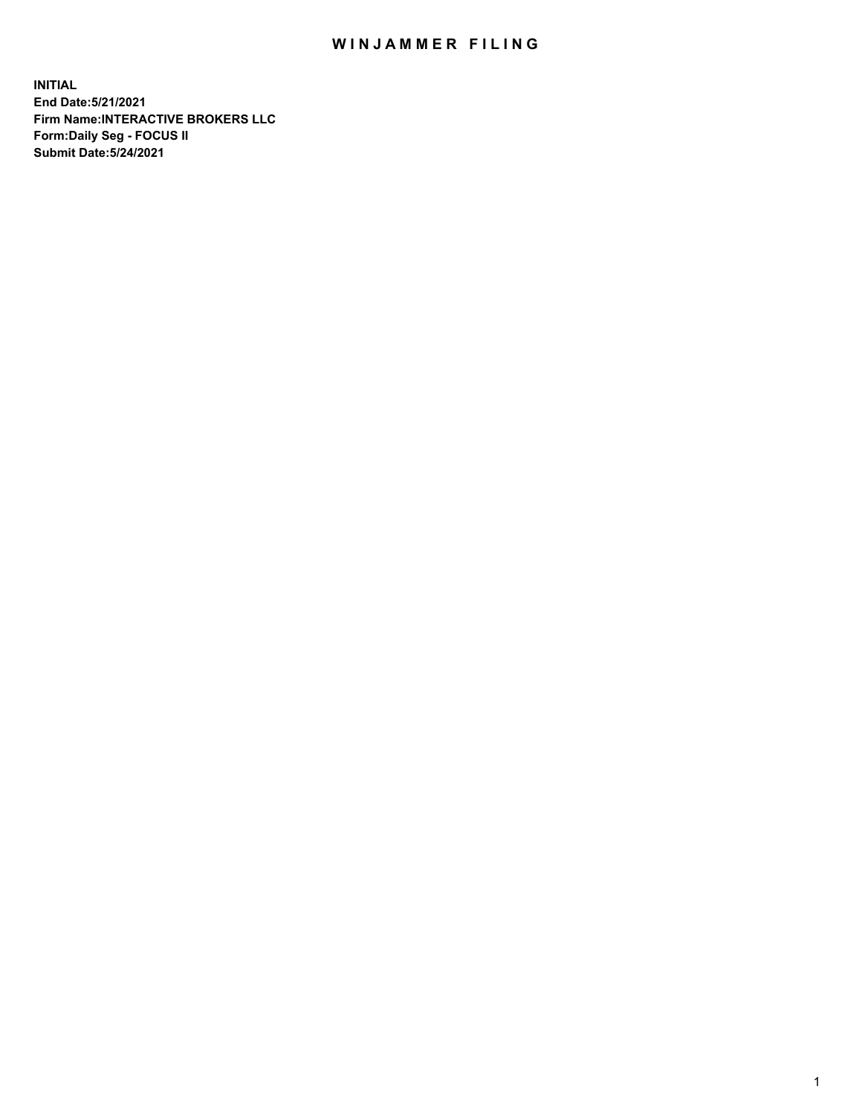## WIN JAMMER FILING

**INITIAL End Date:5/21/2021 Firm Name:INTERACTIVE BROKERS LLC Form:Daily Seg - FOCUS II Submit Date:5/24/2021**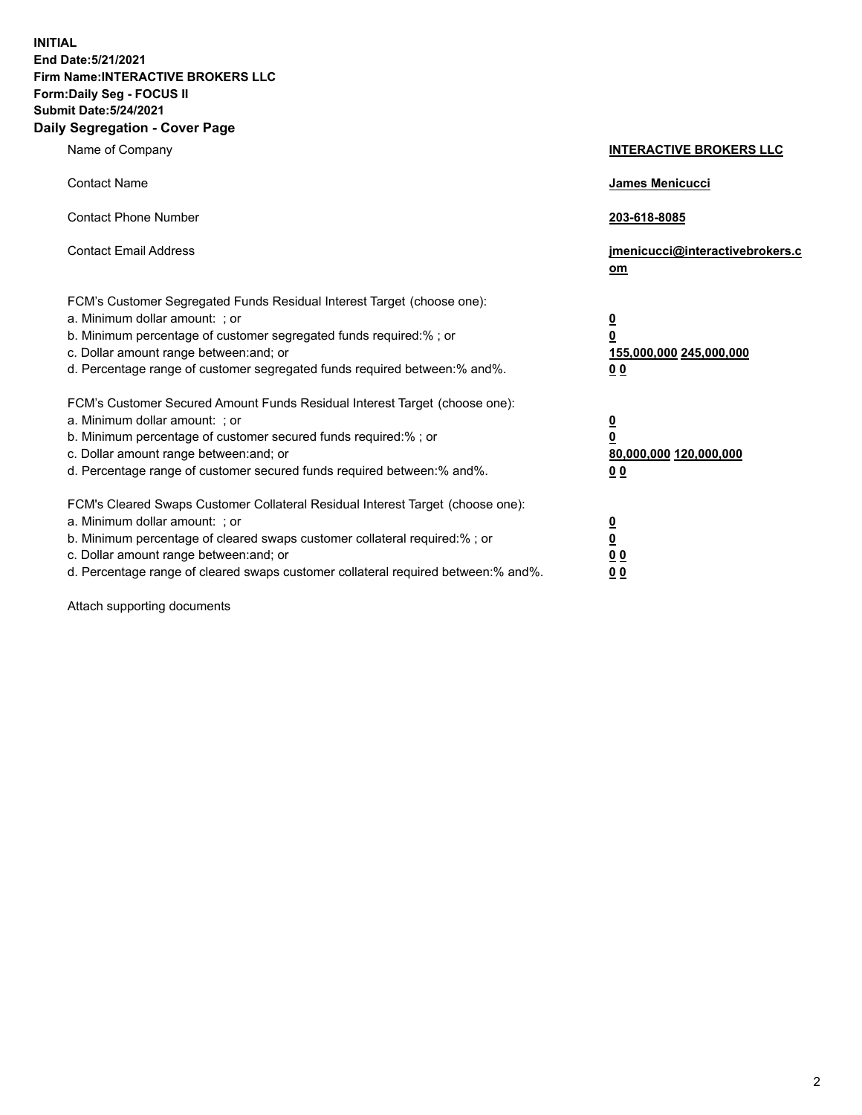**INITIAL End Date:5/21/2021 Firm Name:INTERACTIVE BROKERS LLC Form:Daily Seg - FOCUS II Submit Date:5/24/2021 Daily Segregation - Cover Page**

| Name of Company                                                                                                                                                                                                                                                                                                                | <b>INTERACTIVE BROKERS LLC</b>                                                   |
|--------------------------------------------------------------------------------------------------------------------------------------------------------------------------------------------------------------------------------------------------------------------------------------------------------------------------------|----------------------------------------------------------------------------------|
| <b>Contact Name</b>                                                                                                                                                                                                                                                                                                            | James Menicucci                                                                  |
| <b>Contact Phone Number</b>                                                                                                                                                                                                                                                                                                    | 203-618-8085                                                                     |
| <b>Contact Email Address</b>                                                                                                                                                                                                                                                                                                   | jmenicucci@interactivebrokers.c<br>om                                            |
| FCM's Customer Segregated Funds Residual Interest Target (choose one):<br>a. Minimum dollar amount: ; or<br>b. Minimum percentage of customer segregated funds required:% ; or<br>c. Dollar amount range between: and; or<br>d. Percentage range of customer segregated funds required between:% and%.                         | <u>0</u><br>$\overline{\mathbf{0}}$<br>155,000,000 245,000,000<br>0 <sub>0</sub> |
| FCM's Customer Secured Amount Funds Residual Interest Target (choose one):<br>a. Minimum dollar amount: ; or<br>b. Minimum percentage of customer secured funds required:% ; or<br>c. Dollar amount range between: and; or<br>d. Percentage range of customer secured funds required between:% and%.                           | <u>0</u><br>$\overline{\mathbf{0}}$<br>80,000,000 120,000,000<br>0 <sub>0</sub>  |
| FCM's Cleared Swaps Customer Collateral Residual Interest Target (choose one):<br>a. Minimum dollar amount: ; or<br>b. Minimum percentage of cleared swaps customer collateral required:% ; or<br>c. Dollar amount range between: and; or<br>d. Percentage range of cleared swaps customer collateral required between:% and%. | <u>0</u><br>$\underline{\mathbf{0}}$<br>0 <sub>0</sub><br>0 <sub>0</sub>         |

Attach supporting documents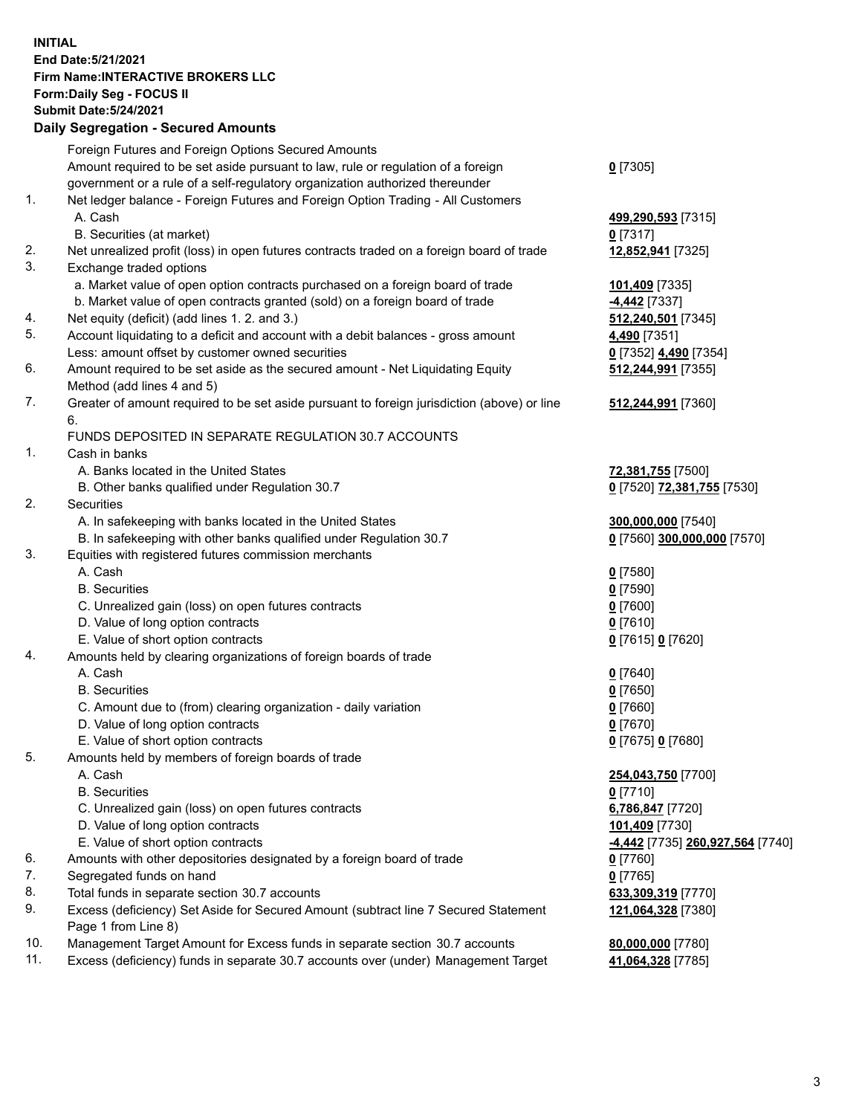## **INITIAL End Date:5/21/2021 Firm Name:INTERACTIVE BROKERS LLC Form:Daily Seg - FOCUS II Submit Date:5/24/2021 Daily Segregation - Secured Amounts**

|     | Daily Segregation - Secured Alliounts                                                                                                |                                          |
|-----|--------------------------------------------------------------------------------------------------------------------------------------|------------------------------------------|
|     | Foreign Futures and Foreign Options Secured Amounts                                                                                  |                                          |
|     | Amount required to be set aside pursuant to law, rule or regulation of a foreign                                                     | $0$ [7305]                               |
|     | government or a rule of a self-regulatory organization authorized thereunder                                                         |                                          |
| 1.  | Net ledger balance - Foreign Futures and Foreign Option Trading - All Customers                                                      |                                          |
|     | A. Cash                                                                                                                              | 499,290,593 [7315]                       |
|     | B. Securities (at market)                                                                                                            | $0$ [7317]                               |
| 2.  | Net unrealized profit (loss) in open futures contracts traded on a foreign board of trade                                            | 12,852,941 [7325]                        |
| 3.  | Exchange traded options                                                                                                              |                                          |
|     | a. Market value of open option contracts purchased on a foreign board of trade                                                       | 101,409 [7335]                           |
|     | b. Market value of open contracts granted (sold) on a foreign board of trade                                                         | -4,442 [7337]                            |
| 4.  | Net equity (deficit) (add lines 1. 2. and 3.)                                                                                        | 512,240,501 [7345]                       |
| 5.  | Account liquidating to a deficit and account with a debit balances - gross amount                                                    | 4,490 <sub>[7351]</sub>                  |
|     | Less: amount offset by customer owned securities                                                                                     | 0 [7352] 4,490 [7354]                    |
| 6.  | Amount required to be set aside as the secured amount - Net Liquidating Equity                                                       | 512,244,991 [7355]                       |
|     | Method (add lines 4 and 5)                                                                                                           |                                          |
| 7.  | Greater of amount required to be set aside pursuant to foreign jurisdiction (above) or line                                          | 512,244,991 [7360]                       |
|     | 6.                                                                                                                                   |                                          |
|     | FUNDS DEPOSITED IN SEPARATE REGULATION 30.7 ACCOUNTS                                                                                 |                                          |
| 1.  | Cash in banks                                                                                                                        |                                          |
|     | A. Banks located in the United States                                                                                                | 72,381,755 [7500]                        |
|     | B. Other banks qualified under Regulation 30.7                                                                                       | 0 [7520] 72,381,755 [7530]               |
| 2.  | Securities                                                                                                                           |                                          |
|     | A. In safekeeping with banks located in the United States                                                                            | 300,000,000 [7540]                       |
|     | B. In safekeeping with other banks qualified under Regulation 30.7                                                                   | 0 [7560] 300,000,000 [7570]              |
| 3.  | Equities with registered futures commission merchants                                                                                |                                          |
|     | A. Cash                                                                                                                              | $0$ [7580]                               |
|     | <b>B.</b> Securities                                                                                                                 | $0$ [7590]                               |
|     | C. Unrealized gain (loss) on open futures contracts                                                                                  | $0$ [7600]                               |
|     | D. Value of long option contracts                                                                                                    | $0$ [7610]                               |
|     | E. Value of short option contracts                                                                                                   | 0 [7615] 0 [7620]                        |
| 4.  | Amounts held by clearing organizations of foreign boards of trade                                                                    |                                          |
|     | A. Cash                                                                                                                              | $0$ [7640]                               |
|     | <b>B.</b> Securities                                                                                                                 | $0$ [7650]                               |
|     | C. Amount due to (from) clearing organization - daily variation                                                                      | $0$ [7660]                               |
|     | D. Value of long option contracts                                                                                                    | $0$ [7670]                               |
|     | E. Value of short option contracts                                                                                                   | 0 [7675] 0 [7680]                        |
| 5.  | Amounts held by members of foreign boards of trade                                                                                   |                                          |
|     | A. Cash                                                                                                                              | 254,043,750 [7700]                       |
|     | <b>B.</b> Securities                                                                                                                 | $0$ [7710]                               |
|     | C. Unrealized gain (loss) on open futures contracts                                                                                  | 6,786,847 [7720]                         |
|     | D. Value of long option contracts<br>E. Value of short option contracts                                                              | 101,409 [7730]                           |
| 6.  |                                                                                                                                      | -4,442 [7735] 260,927,564 [7740]         |
| 7.  | Amounts with other depositories designated by a foreign board of trade                                                               | 0 [7760]                                 |
| 8.  | Segregated funds on hand                                                                                                             | $0$ [7765]                               |
| 9.  | Total funds in separate section 30.7 accounts<br>Excess (deficiency) Set Aside for Secured Amount (subtract line 7 Secured Statement | 633,309,319 [7770]<br>121,064,328 [7380] |
|     | Page 1 from Line 8)                                                                                                                  |                                          |
| 10. | Management Target Amount for Excess funds in separate section 30.7 accounts                                                          | 80,000,000 [7780]                        |
| 11. | Excess (deficiency) funds in separate 30.7 accounts over (under) Management Target                                                   | 41,064,328 [7785]                        |
|     |                                                                                                                                      |                                          |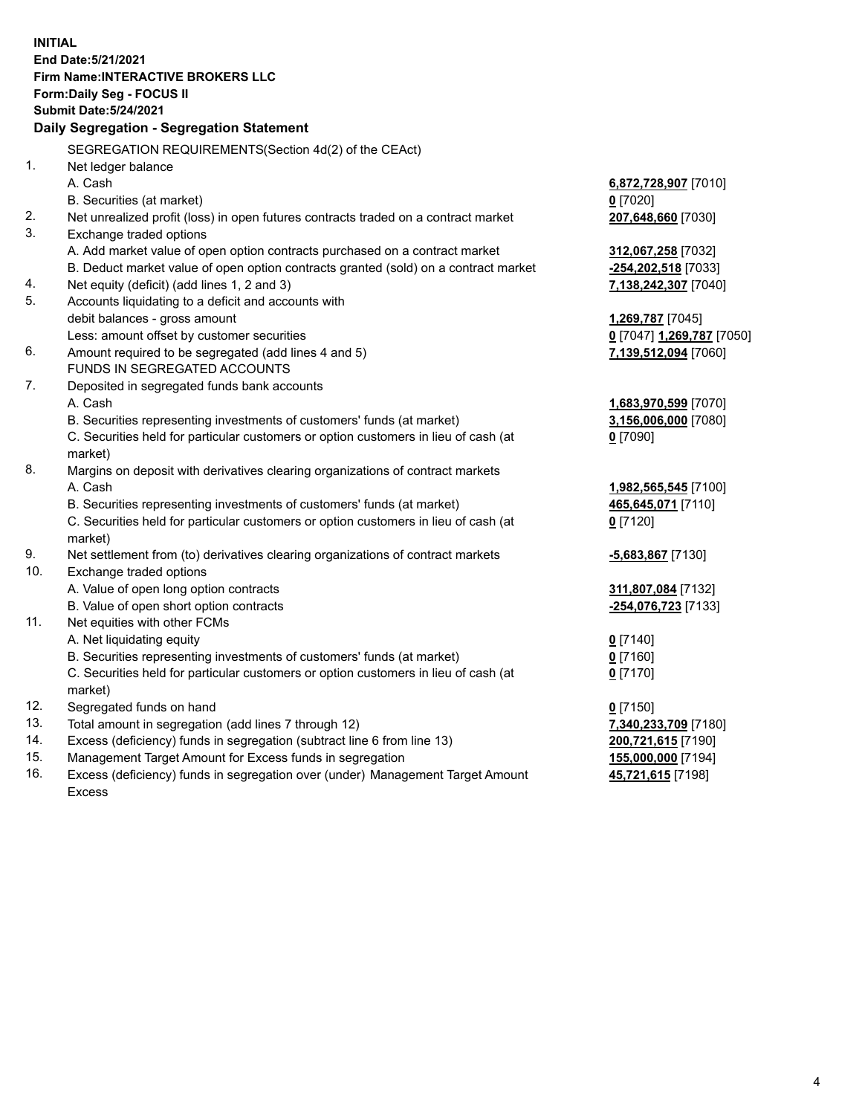**INITIAL End Date:5/21/2021 Firm Name:INTERACTIVE BROKERS LLC Form:Daily Seg - FOCUS II Submit Date:5/24/2021 Daily Segregation - Segregation Statement** SEGREGATION REQUIREMENTS(Section 4d(2) of the CEAct) 1. Net ledger balance A. Cash **6,872,728,907** [7010] B. Securities (at market) **0** [7020] 2. Net unrealized profit (loss) in open futures contracts traded on a contract market **207,648,660** [7030] 3. Exchange traded options A. Add market value of open option contracts purchased on a contract market **312,067,258** [7032] B. Deduct market value of open option contracts granted (sold) on a contract market **-254,202,518** [7033] 4. Net equity (deficit) (add lines 1, 2 and 3) **7,138,242,307** [7040] 5. Accounts liquidating to a deficit and accounts with debit balances - gross amount **1,269,787** [7045] Less: amount offset by customer securities **0** [7047] **1,269,787** [7050] 6. Amount required to be segregated (add lines 4 and 5) **7,139,512,094** [7060] FUNDS IN SEGREGATED ACCOUNTS 7. Deposited in segregated funds bank accounts A. Cash **1,683,970,599** [7070] B. Securities representing investments of customers' funds (at market) **3,156,006,000** [7080] C. Securities held for particular customers or option customers in lieu of cash (at market) **0** [7090] 8. Margins on deposit with derivatives clearing organizations of contract markets A. Cash **1,982,565,545** [7100] B. Securities representing investments of customers' funds (at market) **465,645,071** [7110] C. Securities held for particular customers or option customers in lieu of cash (at market) **0** [7120] 9. Net settlement from (to) derivatives clearing organizations of contract markets **-5,683,867** [7130] 10. Exchange traded options A. Value of open long option contracts **311,807,084** [7132] B. Value of open short option contracts **-254,076,723** [7133] 11. Net equities with other FCMs A. Net liquidating equity **0** [7140] B. Securities representing investments of customers' funds (at market) **0** [7160] C. Securities held for particular customers or option customers in lieu of cash (at market) **0** [7170] 12. Segregated funds on hand **0** [7150] 13. Total amount in segregation (add lines 7 through 12) **7,340,233,709** [7180] 14. Excess (deficiency) funds in segregation (subtract line 6 from line 13) **200,721,615** [7190] 15. Management Target Amount for Excess funds in segregation **155,000,000** [7194]

16. Excess (deficiency) funds in segregation over (under) Management Target Amount Excess

**45,721,615** [7198]